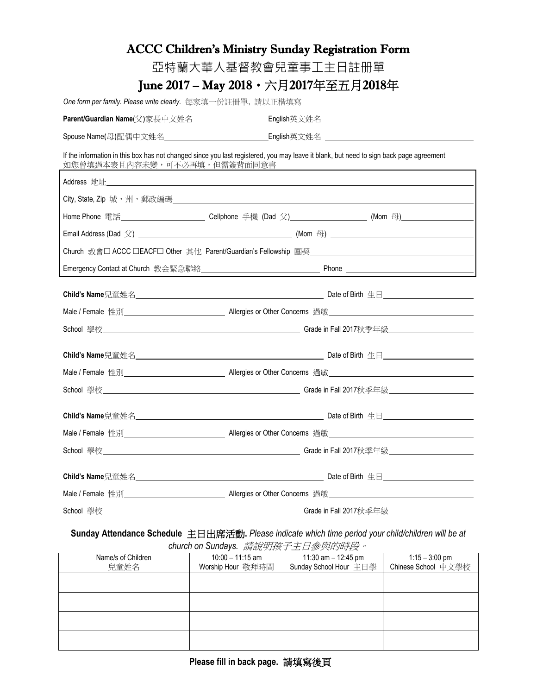|                                                                                                                                                                       | <b>ACCC Children's Ministry Sunday Registration Form</b>                                                             |                                    |
|-----------------------------------------------------------------------------------------------------------------------------------------------------------------------|----------------------------------------------------------------------------------------------------------------------|------------------------------------|
|                                                                                                                                                                       | 亞特蘭大華人基督教會兒童事工主日註册單                                                                                                  |                                    |
|                                                                                                                                                                       | June 2017 – May 2018・六月2017年至五月2018年                                                                                 |                                    |
| One form per family. Please write clearly. 每家填一份註冊單, 請以正楷填寫                                                                                                           |                                                                                                                      |                                    |
|                                                                                                                                                                       |                                                                                                                      |                                    |
|                                                                                                                                                                       |                                                                                                                      |                                    |
| If the information in this box has not changed since you last registered, you may leave it blank, but need to sign back page agreement<br>如您曾填過本表且內容未變,可不必再填,但需簽背面同意書 |                                                                                                                      |                                    |
|                                                                                                                                                                       |                                                                                                                      |                                    |
|                                                                                                                                                                       |                                                                                                                      |                                    |
|                                                                                                                                                                       |                                                                                                                      |                                    |
|                                                                                                                                                                       |                                                                                                                      |                                    |
|                                                                                                                                                                       |                                                                                                                      |                                    |
|                                                                                                                                                                       |                                                                                                                      |                                    |
|                                                                                                                                                                       |                                                                                                                      |                                    |
|                                                                                                                                                                       | Male / Female 性別_______________ Allergies or Other Concerns  過敏_________________                                     |                                    |
|                                                                                                                                                                       |                                                                                                                      |                                    |
|                                                                                                                                                                       |                                                                                                                      |                                    |
|                                                                                                                                                                       |                                                                                                                      |                                    |
|                                                                                                                                                                       |                                                                                                                      |                                    |
|                                                                                                                                                                       |                                                                                                                      |                                    |
| Male / Female 性別                                                                                                                                                      | ______________ Allergies or Other Concerns   過敏__________                                                            |                                    |
| School 學校                                                                                                                                                             | <u> 1989 - Johann Stoff, deutscher Stoffen und der Stoffen und der Stoffen und der Stoffen und der Stoffen und d</u> | Grade in Fall 2017秋季年級<br><u> </u> |
|                                                                                                                                                                       |                                                                                                                      |                                    |
|                                                                                                                                                                       |                                                                                                                      |                                    |
| School 學校                                                                                                                                                             |                                                                                                                      | Grade in Fall 2017秋季年級             |

## **Sunday Attendance Schedule** 主日出席活動**.** *Please indicate which time period your child/children will be at church on Sundays.* 請說明孩子主日參與的時段。

| ondron on banda jo: $\frac{1}{4}$ $\frac{1}{4}$ $\frac{1}{4}$ $\frac{1}{4}$ $\frac{1}{4}$ $\frac{1}{4}$ $\frac{1}{4}$ $\frac{1}{4}$ $\frac{1}{4}$ $\frac{1}{4}$ $\frac{1}{4}$ |                    |                        |                     |  |
|-------------------------------------------------------------------------------------------------------------------------------------------------------------------------------|--------------------|------------------------|---------------------|--|
| Name/s of Children                                                                                                                                                            | $10:00 - 11:15$ am | 11:30 am - 12:45 pm    | $1:15 - 3:00$ pm    |  |
| 兒童姓名                                                                                                                                                                          | Worship Hour 敬拜時間  | Sunday School Hour 主日學 | Chinese School 中文學校 |  |
|                                                                                                                                                                               |                    |                        |                     |  |
|                                                                                                                                                                               |                    |                        |                     |  |
|                                                                                                                                                                               |                    |                        |                     |  |
|                                                                                                                                                                               |                    |                        |                     |  |
|                                                                                                                                                                               |                    |                        |                     |  |
|                                                                                                                                                                               |                    |                        |                     |  |
|                                                                                                                                                                               |                    |                        |                     |  |
|                                                                                                                                                                               |                    |                        |                     |  |